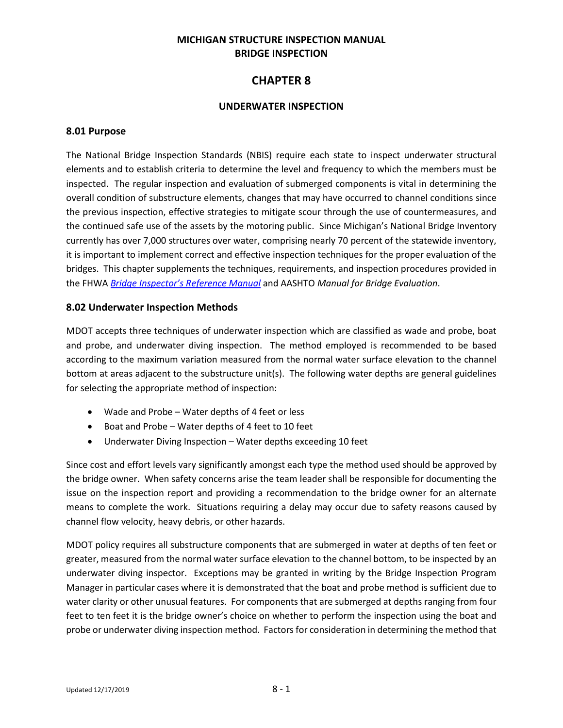### **MICHIGAN STRUCTURE INSPECTION MANUAL BRIDGE INSPECTION**

# **CHAPTER 8**

### **UNDERWATER INSPECTION**

### **8.01 Purpose**

The National Bridge Inspection Standards (NBIS) require each state to inspect underwater structural elements and to establish criteria to determine the level and frequency to which the members must be inspected. The regular inspection and evaluation of submerged components is vital in determining the overall condition of substructure elements, changes that may have occurred to channel conditions since the previous inspection, effective strategies to mitigate scour through the use of countermeasures, and the continued safe use of the assets by the motoring public. Since Michigan's National Bridge Inventory currently has over 7,000 structures over water, comprising nearly 70 percent of the statewide inventory, it is important to implement correct and effective inspection techniques for the proper evaluation of the bridges. This chapter supplements the techniques, requirements, and inspection procedures provided in the FHWA *[Bridge Inspector's Reference Manual](http://www.fhwa.dot.gov/bridge/nbis/pubs/nhi12049.pdf)* and AASHTO *Manual for Bridge Evaluation*.

### **8.02 Underwater Inspection Methods**

MDOT accepts three techniques of underwater inspection which are classified as wade and probe, boat and probe, and underwater diving inspection. The method employed is recommended to be based according to the maximum variation measured from the normal water surface elevation to the channel bottom at areas adjacent to the substructure unit(s). The following water depths are general guidelines for selecting the appropriate method of inspection:

- Wade and Probe Water depths of 4 feet or less
- Boat and Probe Water depths of 4 feet to 10 feet
- Underwater Diving Inspection Water depths exceeding 10 feet

Since cost and effort levels vary significantly amongst each type the method used should be approved by the bridge owner. When safety concerns arise the team leader shall be responsible for documenting the issue on the inspection report and providing a recommendation to the bridge owner for an alternate means to complete the work. Situations requiring a delay may occur due to safety reasons caused by channel flow velocity, heavy debris, or other hazards.

MDOT policy requires all substructure components that are submerged in water at depths of ten feet or greater, measured from the normal water surface elevation to the channel bottom, to be inspected by an underwater diving inspector. Exceptions may be granted in writing by the Bridge Inspection Program Manager in particular cases where it is demonstrated that the boat and probe method is sufficient due to water clarity or other unusual features. For components that are submerged at depths ranging from four feet to ten feet it is the bridge owner's choice on whether to perform the inspection using the boat and probe or underwater diving inspection method. Factors for consideration in determining the method that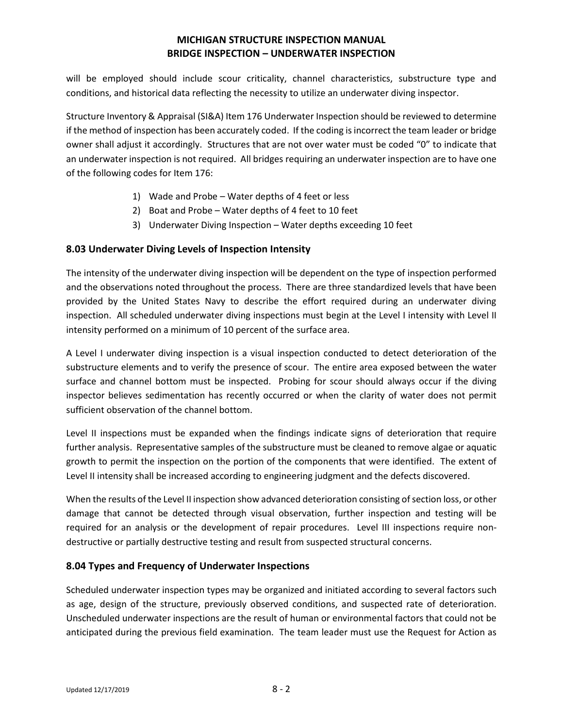will be employed should include scour criticality, channel characteristics, substructure type and conditions, and historical data reflecting the necessity to utilize an underwater diving inspector.

Structure Inventory & Appraisal (SI&A) Item 176 Underwater Inspection should be reviewed to determine if the method of inspection has been accurately coded. If the coding is incorrect the team leader or bridge owner shall adjust it accordingly. Structures that are not over water must be coded "0" to indicate that an underwater inspection is not required. All bridges requiring an underwater inspection are to have one of the following codes for Item 176:

- 1) Wade and Probe Water depths of 4 feet or less
- 2) Boat and Probe Water depths of 4 feet to 10 feet
- 3) Underwater Diving Inspection Water depths exceeding 10 feet

### **8.03 Underwater Diving Levels of Inspection Intensity**

The intensity of the underwater diving inspection will be dependent on the type of inspection performed and the observations noted throughout the process. There are three standardized levels that have been provided by the United States Navy to describe the effort required during an underwater diving inspection. All scheduled underwater diving inspections must begin at the Level I intensity with Level II intensity performed on a minimum of 10 percent of the surface area.

A Level I underwater diving inspection is a visual inspection conducted to detect deterioration of the substructure elements and to verify the presence of scour. The entire area exposed between the water surface and channel bottom must be inspected. Probing for scour should always occur if the diving inspector believes sedimentation has recently occurred or when the clarity of water does not permit sufficient observation of the channel bottom.

Level II inspections must be expanded when the findings indicate signs of deterioration that require further analysis. Representative samples of the substructure must be cleaned to remove algae or aquatic growth to permit the inspection on the portion of the components that were identified. The extent of Level II intensity shall be increased according to engineering judgment and the defects discovered.

When the results of the Level II inspection show advanced deterioration consisting of section loss, or other damage that cannot be detected through visual observation, further inspection and testing will be required for an analysis or the development of repair procedures. Level III inspections require nondestructive or partially destructive testing and result from suspected structural concerns.

### **8.04 Types and Frequency of Underwater Inspections**

Scheduled underwater inspection types may be organized and initiated according to several factors such as age, design of the structure, previously observed conditions, and suspected rate of deterioration. Unscheduled underwater inspections are the result of human or environmental factors that could not be anticipated during the previous field examination. The team leader must use the Request for Action as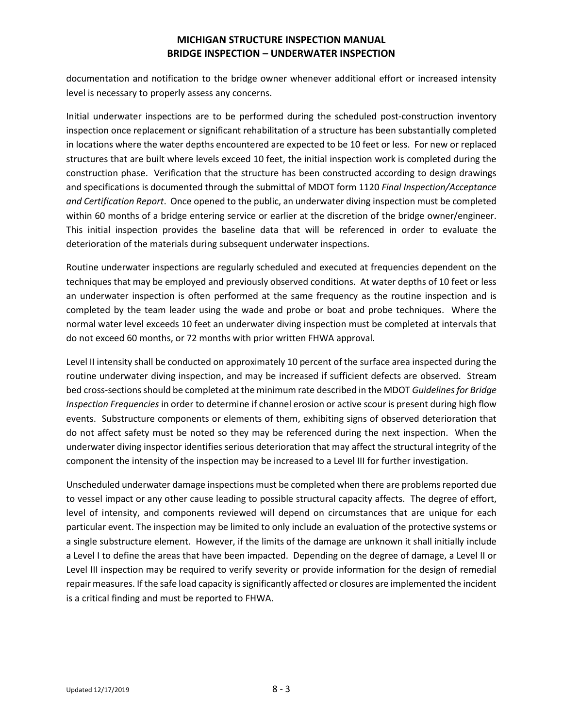documentation and notification to the bridge owner whenever additional effort or increased intensity level is necessary to properly assess any concerns.

Initial underwater inspections are to be performed during the scheduled post-construction inventory inspection once replacement or significant rehabilitation of a structure has been substantially completed in locations where the water depths encountered are expected to be 10 feet or less. For new or replaced structures that are built where levels exceed 10 feet, the initial inspection work is completed during the construction phase. Verification that the structure has been constructed according to design drawings and specifications is documented through the submittal of MDOT form 1120 *Final Inspection/Acceptance and Certification Report*. Once opened to the public, an underwater diving inspection must be completed within 60 months of a bridge entering service or earlier at the discretion of the bridge owner/engineer. This initial inspection provides the baseline data that will be referenced in order to evaluate the deterioration of the materials during subsequent underwater inspections.

Routine underwater inspections are regularly scheduled and executed at frequencies dependent on the techniques that may be employed and previously observed conditions. At water depths of 10 feet or less an underwater inspection is often performed at the same frequency as the routine inspection and is completed by the team leader using the wade and probe or boat and probe techniques. Where the normal water level exceeds 10 feet an underwater diving inspection must be completed at intervals that do not exceed 60 months, or 72 months with prior written FHWA approval.

Level II intensity shall be conducted on approximately 10 percent of the surface area inspected during the routine underwater diving inspection, and may be increased if sufficient defects are observed. Stream bed cross-sections should be completed at the minimum rate described in the MDOT *Guidelines for Bridge Inspection Frequencies* in order to determine if channel erosion or active scour is present during high flow events. Substructure components or elements of them, exhibiting signs of observed deterioration that do not affect safety must be noted so they may be referenced during the next inspection. When the underwater diving inspector identifies serious deterioration that may affect the structural integrity of the component the intensity of the inspection may be increased to a Level III for further investigation.

Unscheduled underwater damage inspections must be completed when there are problems reported due to vessel impact or any other cause leading to possible structural capacity affects. The degree of effort, level of intensity, and components reviewed will depend on circumstances that are unique for each particular event. The inspection may be limited to only include an evaluation of the protective systems or a single substructure element. However, if the limits of the damage are unknown it shall initially include a Level I to define the areas that have been impacted. Depending on the degree of damage, a Level II or Level III inspection may be required to verify severity or provide information for the design of remedial repair measures. If the safe load capacity is significantly affected or closures are implemented the incident is a critical finding and must be reported to FHWA.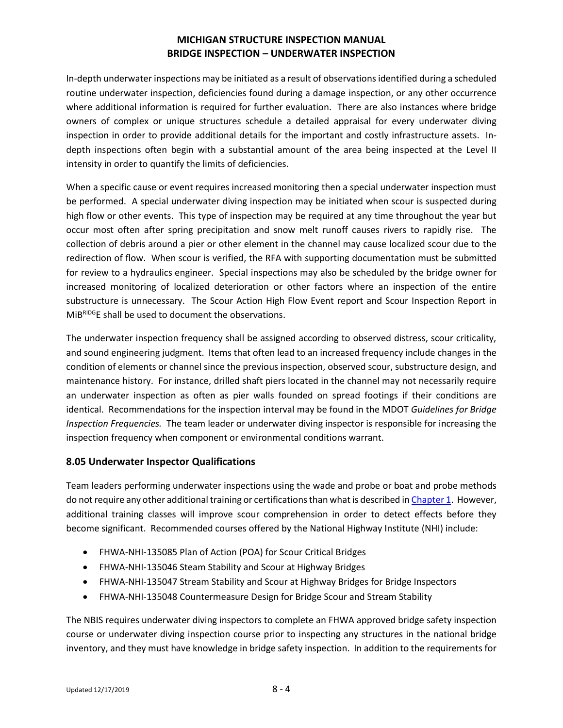In-depth underwater inspections may be initiated as a result of observations identified during a scheduled routine underwater inspection, deficiencies found during a damage inspection, or any other occurrence where additional information is required for further evaluation. There are also instances where bridge owners of complex or unique structures schedule a detailed appraisal for every underwater diving inspection in order to provide additional details for the important and costly infrastructure assets. Indepth inspections often begin with a substantial amount of the area being inspected at the Level II intensity in order to quantify the limits of deficiencies.

When a specific cause or event requires increased monitoring then a special underwater inspection must be performed. A special underwater diving inspection may be initiated when scour is suspected during high flow or other events. This type of inspection may be required at any time throughout the year but occur most often after spring precipitation and snow melt runoff causes rivers to rapidly rise. The collection of debris around a pier or other element in the channel may cause localized scour due to the redirection of flow. When scour is verified, the RFA with supporting documentation must be submitted for review to a hydraulics engineer. Special inspections may also be scheduled by the bridge owner for increased monitoring of localized deterioration or other factors where an inspection of the entire substructure is unnecessary. The Scour Action High Flow Event report and Scour Inspection Report in MiBRIDGE shall be used to document the observations.

The underwater inspection frequency shall be assigned according to observed distress, scour criticality, and sound engineering judgment. Items that often lead to an increased frequency include changes in the condition of elements or channel since the previous inspection, observed scour, substructure design, and maintenance history. For instance, drilled shaft piers located in the channel may not necessarily require an underwater inspection as often as pier walls founded on spread footings if their conditions are identical. Recommendations for the inspection interval may be found in the MDOT *Guidelines for Bridge Inspection Frequencies.* The team leader or underwater diving inspector is responsible for increasing the inspection frequency when component or environmental conditions warrant.

### **8.05 Underwater Inspector Qualifications**

Team leaders performing underwater inspections using the wade and probe or boat and probe methods do not require any other additional training or certifications than what is described i[n Chapter](http://www.michigan.gov/mdot/0,4616,7-151-9625_24768_24773-326737--,00.html) 1. However, additional training classes will improve scour comprehension in order to detect effects before they become significant. Recommended courses offered by the National Highway Institute (NHI) include:

- FHWA-NHI-135085 Plan of Action (POA) for Scour Critical Bridges
- FHWA-NHI-135046 Steam Stability and Scour at Highway Bridges
- FHWA-NHI-135047 Stream Stability and Scour at Highway Bridges for Bridge Inspectors
- FHWA-NHI-135048 Countermeasure Design for Bridge Scour and Stream Stability

The NBIS requires underwater diving inspectors to complete an FHWA approved bridge safety inspection course or underwater diving inspection course prior to inspecting any structures in the national bridge inventory, and they must have knowledge in bridge safety inspection. In addition to the requirements for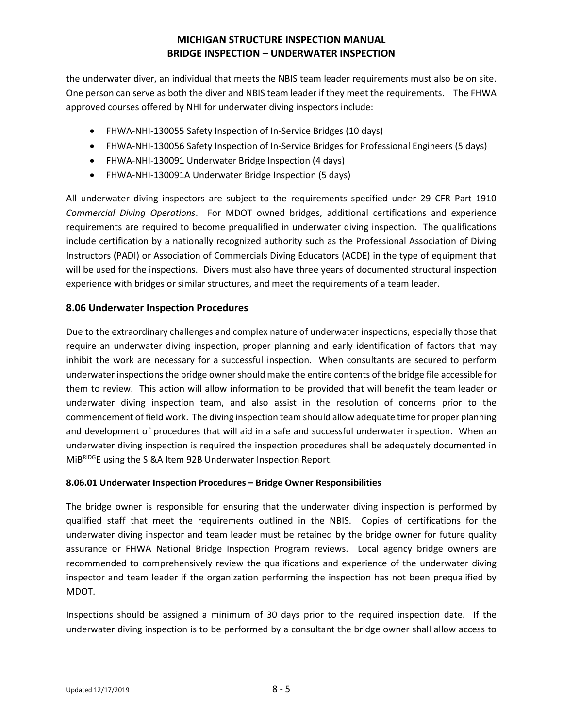the underwater diver, an individual that meets the NBIS team leader requirements must also be on site. One person can serve as both the diver and NBIS team leader if they meet the requirements. The FHWA approved courses offered by NHI for underwater diving inspectors include:

- FHWA-NHI-130055 Safety Inspection of In-Service Bridges (10 days)
- FHWA-NHI-130056 Safety Inspection of In-Service Bridges for Professional Engineers (5 days)
- FHWA-NHI-130091 Underwater Bridge Inspection (4 days)
- FHWA-NHI-130091A Underwater Bridge Inspection (5 days)

All underwater diving inspectors are subject to the requirements specified under 29 CFR Part 1910 *Commercial Diving Operations*. For MDOT owned bridges, additional certifications and experience requirements are required to become prequalified in underwater diving inspection. The qualifications include certification by a nationally recognized authority such as the Professional Association of Diving Instructors (PADI) or Association of Commercials Diving Educators (ACDE) in the type of equipment that will be used for the inspections. Divers must also have three years of documented structural inspection experience with bridges or similar structures, and meet the requirements of a team leader.

### **8.06 Underwater Inspection Procedures**

Due to the extraordinary challenges and complex nature of underwater inspections, especially those that require an underwater diving inspection, proper planning and early identification of factors that may inhibit the work are necessary for a successful inspection. When consultants are secured to perform underwater inspections the bridge owner should make the entire contents of the bridge file accessible for them to review. This action will allow information to be provided that will benefit the team leader or underwater diving inspection team, and also assist in the resolution of concerns prior to the commencement of field work. The diving inspection team should allow adequate time for proper planning and development of procedures that will aid in a safe and successful underwater inspection. When an underwater diving inspection is required the inspection procedures shall be adequately documented in MiBRIDGE using the SI&A Item 92B Underwater Inspection Report.

### **8.06.01 Underwater Inspection Procedures – Bridge Owner Responsibilities**

The bridge owner is responsible for ensuring that the underwater diving inspection is performed by qualified staff that meet the requirements outlined in the NBIS. Copies of certifications for the underwater diving inspector and team leader must be retained by the bridge owner for future quality assurance or FHWA National Bridge Inspection Program reviews. Local agency bridge owners are recommended to comprehensively review the qualifications and experience of the underwater diving inspector and team leader if the organization performing the inspection has not been prequalified by MDOT.

Inspections should be assigned a minimum of 30 days prior to the required inspection date. If the underwater diving inspection is to be performed by a consultant the bridge owner shall allow access to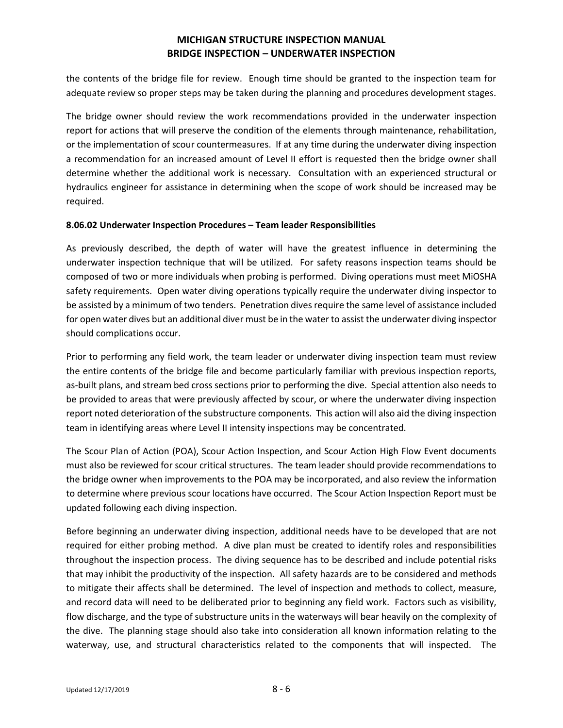the contents of the bridge file for review. Enough time should be granted to the inspection team for adequate review so proper steps may be taken during the planning and procedures development stages.

The bridge owner should review the work recommendations provided in the underwater inspection report for actions that will preserve the condition of the elements through maintenance, rehabilitation, or the implementation of scour countermeasures. If at any time during the underwater diving inspection a recommendation for an increased amount of Level II effort is requested then the bridge owner shall determine whether the additional work is necessary. Consultation with an experienced structural or hydraulics engineer for assistance in determining when the scope of work should be increased may be required.

#### **8.06.02 Underwater Inspection Procedures – Team leader Responsibilities**

As previously described, the depth of water will have the greatest influence in determining the underwater inspection technique that will be utilized. For safety reasons inspection teams should be composed of two or more individuals when probing is performed. Diving operations must meet MiOSHA safety requirements. Open water diving operations typically require the underwater diving inspector to be assisted by a minimum of two tenders. Penetration dives require the same level of assistance included for open water dives but an additional diver must be in the water to assist the underwater diving inspector should complications occur.

Prior to performing any field work, the team leader or underwater diving inspection team must review the entire contents of the bridge file and become particularly familiar with previous inspection reports, as-built plans, and stream bed cross sections prior to performing the dive. Special attention also needs to be provided to areas that were previously affected by scour, or where the underwater diving inspection report noted deterioration of the substructure components. This action will also aid the diving inspection team in identifying areas where Level II intensity inspections may be concentrated.

The Scour Plan of Action (POA), Scour Action Inspection, and Scour Action High Flow Event documents must also be reviewed for scour critical structures. The team leader should provide recommendations to the bridge owner when improvements to the POA may be incorporated, and also review the information to determine where previous scour locations have occurred. The Scour Action Inspection Report must be updated following each diving inspection.

Before beginning an underwater diving inspection, additional needs have to be developed that are not required for either probing method. A dive plan must be created to identify roles and responsibilities throughout the inspection process. The diving sequence has to be described and include potential risks that may inhibit the productivity of the inspection. All safety hazards are to be considered and methods to mitigate their affects shall be determined. The level of inspection and methods to collect, measure, and record data will need to be deliberated prior to beginning any field work. Factors such as visibility, flow discharge, and the type of substructure units in the waterways will bear heavily on the complexity of the dive. The planning stage should also take into consideration all known information relating to the waterway, use, and structural characteristics related to the components that will inspected. The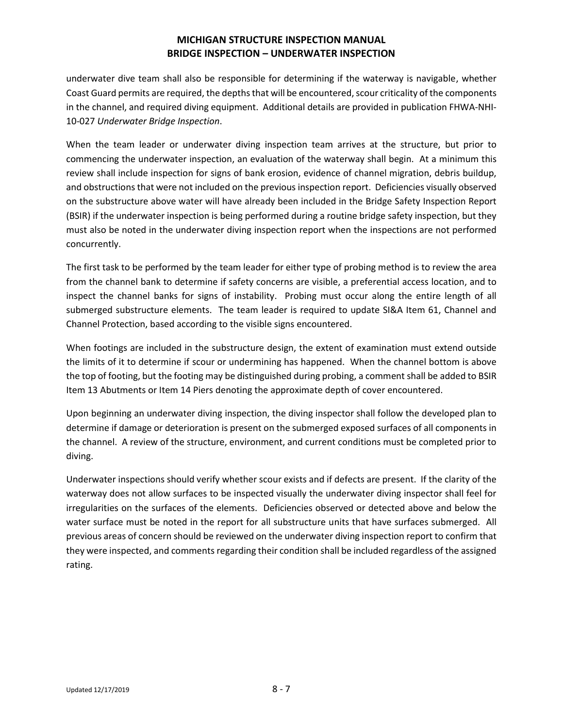underwater dive team shall also be responsible for determining if the waterway is navigable, whether Coast Guard permits are required, the depths that will be encountered, scour criticality of the components in the channel, and required diving equipment. Additional details are provided in publication FHWA-NHI-10-027 *Underwater Bridge Inspection*.

When the team leader or underwater diving inspection team arrives at the structure, but prior to commencing the underwater inspection, an evaluation of the waterway shall begin. At a minimum this review shall include inspection for signs of bank erosion, evidence of channel migration, debris buildup, and obstructions that were not included on the previous inspection report. Deficiencies visually observed on the substructure above water will have already been included in the Bridge Safety Inspection Report (BSIR) if the underwater inspection is being performed during a routine bridge safety inspection, but they must also be noted in the underwater diving inspection report when the inspections are not performed concurrently.

The first task to be performed by the team leader for either type of probing method is to review the area from the channel bank to determine if safety concerns are visible, a preferential access location, and to inspect the channel banks for signs of instability. Probing must occur along the entire length of all submerged substructure elements. The team leader is required to update SI&A Item 61, Channel and Channel Protection, based according to the visible signs encountered.

When footings are included in the substructure design, the extent of examination must extend outside the limits of it to determine if scour or undermining has happened. When the channel bottom is above the top of footing, but the footing may be distinguished during probing, a comment shall be added to BSIR Item 13 Abutments or Item 14 Piers denoting the approximate depth of cover encountered.

Upon beginning an underwater diving inspection, the diving inspector shall follow the developed plan to determine if damage or deterioration is present on the submerged exposed surfaces of all components in the channel. A review of the structure, environment, and current conditions must be completed prior to diving.

Underwater inspections should verify whether scour exists and if defects are present. If the clarity of the waterway does not allow surfaces to be inspected visually the underwater diving inspector shall feel for irregularities on the surfaces of the elements. Deficiencies observed or detected above and below the water surface must be noted in the report for all substructure units that have surfaces submerged. All previous areas of concern should be reviewed on the underwater diving inspection report to confirm that they were inspected, and comments regarding their condition shall be included regardless of the assigned rating.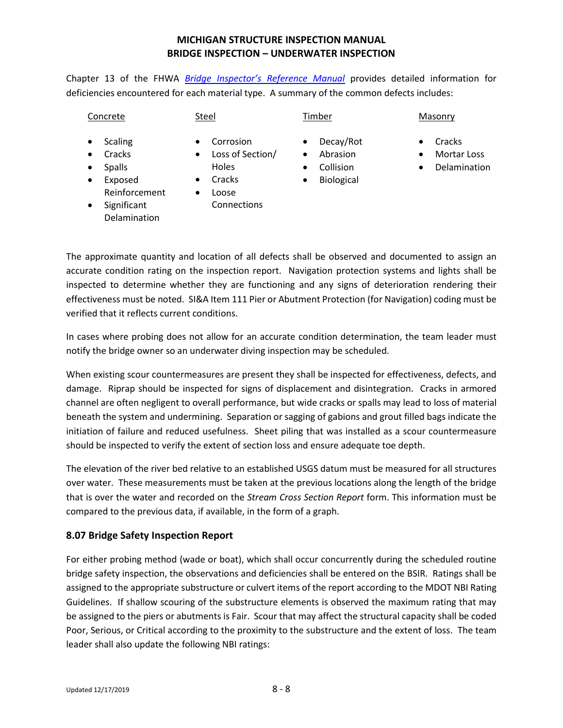Chapter 13 of the FHWA *[Bridge Inspector's Reference Manual](http://www.fhwa.dot.gov/bridge/nbis/pubs/nhi12049.pdf)* provides detailed information for deficiencies encountered for each material type. A summary of the common defects includes:

| Concrete                                                                                                                                                      | Steel                                                                                                                        | Timber                                                                                                      | Masonry                                                              |
|---------------------------------------------------------------------------------------------------------------------------------------------------------------|------------------------------------------------------------------------------------------------------------------------------|-------------------------------------------------------------------------------------------------------------|----------------------------------------------------------------------|
| <b>Scaling</b><br>٠<br>Cracks<br>$\bullet$<br><b>Spalls</b><br>$\bullet$<br>Exposed<br>$\bullet$<br>Reinforcement<br>Significant<br>$\bullet$<br>Delamination | Corrosion<br>$\bullet$<br>Loss of Section/<br>$\bullet$<br>Holes<br>Cracks<br>$\bullet$<br>Loose<br>$\bullet$<br>Connections | Decay/Rot<br>$\bullet$<br>Abrasion<br>$\bullet$<br>Collision<br>$\bullet$<br><b>Biological</b><br>$\bullet$ | Cracks<br>٠<br>Mortar Loss<br>$\bullet$<br>Delamination<br>$\bullet$ |

The approximate quantity and location of all defects shall be observed and documented to assign an accurate condition rating on the inspection report. Navigation protection systems and lights shall be inspected to determine whether they are functioning and any signs of deterioration rendering their effectiveness must be noted. SI&A Item 111 Pier or Abutment Protection (for Navigation) coding must be verified that it reflects current conditions.

In cases where probing does not allow for an accurate condition determination, the team leader must notify the bridge owner so an underwater diving inspection may be scheduled.

When existing scour countermeasures are present they shall be inspected for effectiveness, defects, and damage. Riprap should be inspected for signs of displacement and disintegration. Cracks in armored channel are often negligent to overall performance, but wide cracks or spalls may lead to loss of material beneath the system and undermining. Separation or sagging of gabions and grout filled bags indicate the initiation of failure and reduced usefulness. Sheet piling that was installed as a scour countermeasure should be inspected to verify the extent of section loss and ensure adequate toe depth.

The elevation of the river bed relative to an established USGS datum must be measured for all structures over water. These measurements must be taken at the previous locations along the length of the bridge that is over the water and recorded on the *Stream Cross Section Report* form. This information must be compared to the previous data, if available, in the form of a graph.

## **8.07 Bridge Safety Inspection Report**

For either probing method (wade or boat), which shall occur concurrently during the scheduled routine bridge safety inspection, the observations and deficiencies shall be entered on the BSIR. Ratings shall be assigned to the appropriate substructure or culvert items of the report according to the MDOT NBI Rating Guidelines. If shallow scouring of the substructure elements is observed the maximum rating that may be assigned to the piers or abutments is Fair. Scour that may affect the structural capacity shall be coded Poor, Serious, or Critical according to the proximity to the substructure and the extent of loss. The team leader shall also update the following NBI ratings: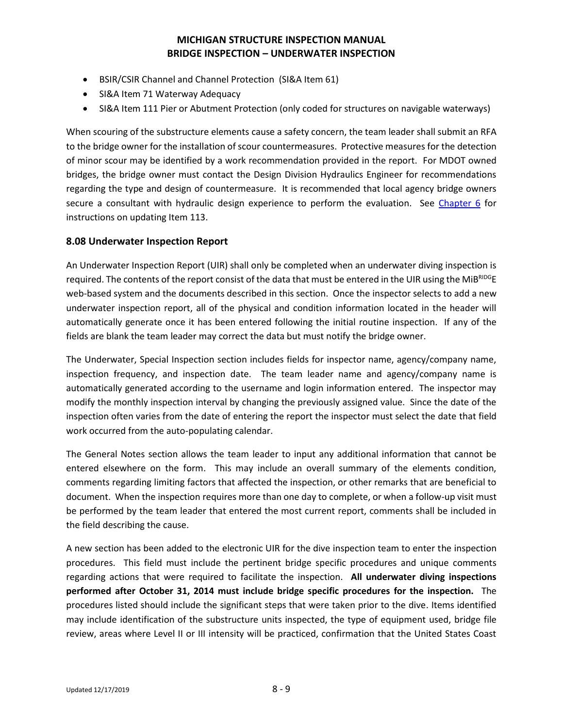- BSIR/CSIR Channel and Channel Protection (SI&A Item 61)
- SI&A Item 71 Waterway Adequacy
- SI&A Item 111 Pier or Abutment Protection (only coded for structures on navigable waterways)

When scouring of the substructure elements cause a safety concern, the team leader shall submit an RFA to the bridge owner for the installation of scour countermeasures. Protective measures for the detection of minor scour may be identified by a work recommendation provided in the report. For MDOT owned bridges, the bridge owner must contact the Design Division Hydraulics Engineer for recommendations regarding the type and design of countermeasure. It is recommended that local agency bridge owners secure a consultant with hydraulic design experience to perform the evaluation. See [Chapter 6](http://www.michigan.gov/mdot/0,4616,7-151-9625_24768_24773-326737--,00.html) for instructions on updating Item 113.

### **8.08 Underwater Inspection Report**

An Underwater Inspection Report (UIR) shall only be completed when an underwater diving inspection is required. The contents of the report consist of the data that must be entered in the UIR using the MiB<sup>RIDG</sup>E web-based system and the documents described in this section. Once the inspector selects to add a new underwater inspection report, all of the physical and condition information located in the header will automatically generate once it has been entered following the initial routine inspection. If any of the fields are blank the team leader may correct the data but must notify the bridge owner.

The Underwater, Special Inspection section includes fields for inspector name, agency/company name, inspection frequency, and inspection date. The team leader name and agency/company name is automatically generated according to the username and login information entered. The inspector may modify the monthly inspection interval by changing the previously assigned value. Since the date of the inspection often varies from the date of entering the report the inspector must select the date that field work occurred from the auto-populating calendar.

The General Notes section allows the team leader to input any additional information that cannot be entered elsewhere on the form. This may include an overall summary of the elements condition, comments regarding limiting factors that affected the inspection, or other remarks that are beneficial to document. When the inspection requires more than one day to complete, or when a follow-up visit must be performed by the team leader that entered the most current report, comments shall be included in the field describing the cause.

A new section has been added to the electronic UIR for the dive inspection team to enter the inspection procedures. This field must include the pertinent bridge specific procedures and unique comments regarding actions that were required to facilitate the inspection. **All underwater diving inspections performed after October 31, 2014 must include bridge specific procedures for the inspection.** The procedures listed should include the significant steps that were taken prior to the dive. Items identified may include identification of the substructure units inspected, the type of equipment used, bridge file review, areas where Level II or III intensity will be practiced, confirmation that the United States Coast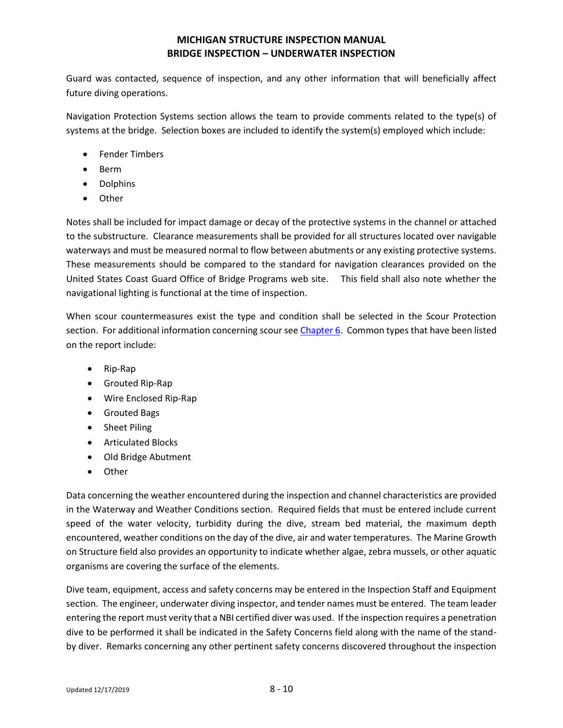Guard was contacted, sequence of inspection, and any other information that will beneficially affect future diving operations.

Navigation Protection Systems section allows the team to provide comments related to the type(s) of systems at the bridge. Selection boxes are included to identify the system(s) employed which include:

- Fender Timbers
- Berm
- Dolphins
- Other

Notes shall be included for impact damage or decay of the protective systems in the channel or attached to the substructure. Clearance measurements shall be provided for all structures located over navigable waterways and must be measured normal to flow between abutments or any existing protective systems. These measurements should be compared to the standard for navigation clearances provided on the United States Coast Guard Office of Bridge Programs web site. This field shall also note whether the navigational lighting is functional at the time of inspection.

When scour countermeasures exist the type and condition shall be selected in the Scour Protection section. For additional information concerning scour se[e Chapter 6.](http://www.michigan.gov/mdot/0,4616,7-151-9625_24768_24773-326737--,00.html) Common types that have been listed on the report include:

- Rip-Rap
- Grouted Rip-Rap
- Wire Enclosed Rip-Rap
- Grouted Bags
- Sheet Piling
- Articulated Blocks
- Old Bridge Abutment
- Other

Data concerning the weather encountered during the inspection and channel characteristics are provided in the Waterway and Weather Conditions section. Required fields that must be entered include current speed of the water velocity, turbidity during the dive, stream bed material, the maximum depth encountered, weather conditions on the day of the dive, air and water temperatures. The Marine Growth on Structure field also provides an opportunity to indicate whether algae, zebra mussels, or other aquatic organisms are covering the surface of the elements.

Dive team, equipment, access and safety concerns may be entered in the Inspection Staff and Equipment section. The engineer, underwater diving inspector, and tender names must be entered. The team leader entering the report must verity that a NBI certified diver was used. If the inspection requires a penetration dive to be performed it shall be indicated in the Safety Concerns field along with the name of the standby diver. Remarks concerning any other pertinent safety concerns discovered throughout the inspection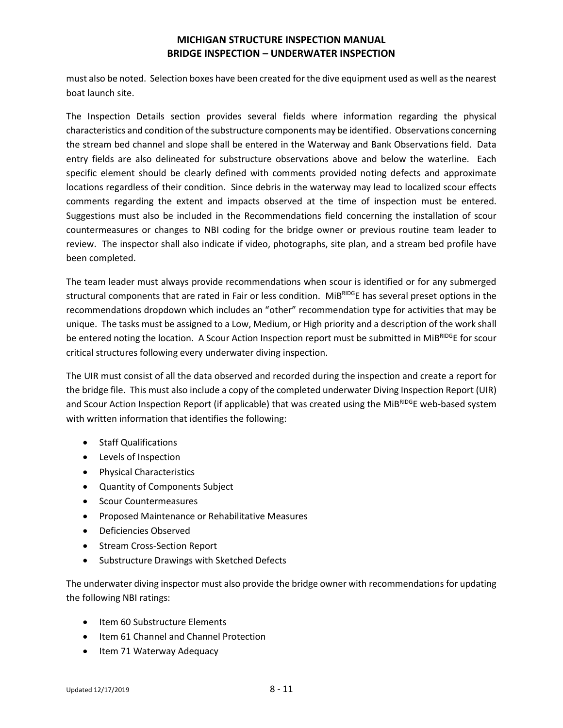must also be noted. Selection boxes have been created for the dive equipment used as well as the nearest boat launch site.

The Inspection Details section provides several fields where information regarding the physical characteristics and condition of the substructure components may be identified. Observations concerning the stream bed channel and slope shall be entered in the Waterway and Bank Observations field. Data entry fields are also delineated for substructure observations above and below the waterline. Each specific element should be clearly defined with comments provided noting defects and approximate locations regardless of their condition. Since debris in the waterway may lead to localized scour effects comments regarding the extent and impacts observed at the time of inspection must be entered. Suggestions must also be included in the Recommendations field concerning the installation of scour countermeasures or changes to NBI coding for the bridge owner or previous routine team leader to review. The inspector shall also indicate if video, photographs, site plan, and a stream bed profile have been completed.

The team leader must always provide recommendations when scour is identified or for any submerged structural components that are rated in Fair or less condition. MiBRIDGE has several preset options in the recommendations dropdown which includes an "other" recommendation type for activities that may be unique. The tasks must be assigned to a Low, Medium, or High priority and a description of the work shall be entered noting the location. A Scour Action Inspection report must be submitted in MiBRIDGE for scour critical structures following every underwater diving inspection.

The UIR must consist of all the data observed and recorded during the inspection and create a report for the bridge file. This must also include a copy of the completed underwater Diving Inspection Report (UIR) and Scour Action Inspection Report (if applicable) that was created using the MiBRIDGE web-based system with written information that identifies the following:

- Staff Qualifications
- Levels of Inspection
- Physical Characteristics
- Quantity of Components Subject
- Scour Countermeasures
- Proposed Maintenance or Rehabilitative Measures
- Deficiencies Observed
- Stream Cross-Section Report
- Substructure Drawings with Sketched Defects

The underwater diving inspector must also provide the bridge owner with recommendations for updating the following NBI ratings:

- Item 60 Substructure Elements
- Item 61 Channel and Channel Protection
- Item 71 Waterway Adequacy